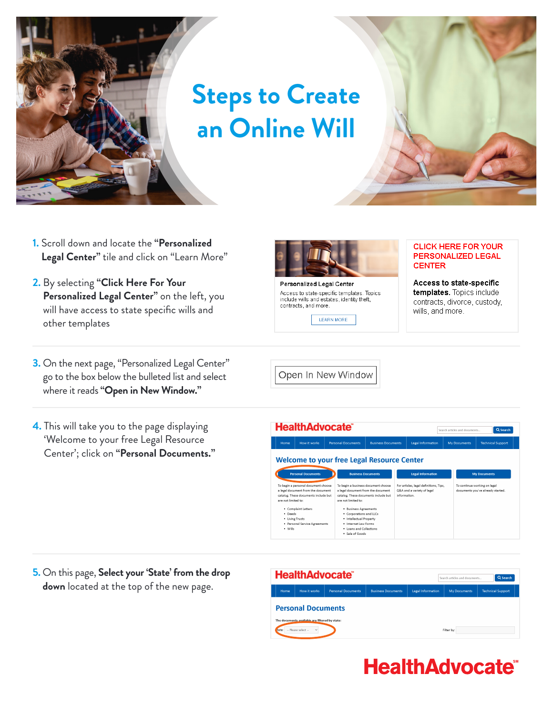

## **Steps to Create an Online Will**

- **1.** Scroll down and locate the **"Personalized Legal Center"** tile and click on "Learn More"
- **2.** By selecting **"Click Here For Your Personalized Legal Center"** on the left, you will have access to state specific wills and other templates
- **3.** On the next page, "Personalized Legal Center" go to the box below the bulleted list and select where it reads **"Open in New Window."**
- **4.** This will take you to the page displaying 'Welcome to your free Legal Resource Center'; click on **"Personal Documents."**



**Personalized Legal Center** Access to state-specific templates. Topics include wills and estates, identity theft, contracts, and more.

**LEARN MORE** 

Open In New Window



Access to state-specific templates. Topics include contracts, divorce, custody, wills, and more.



**5.** On this page, **Select your 'State' from the drop down** located at the top of the new page.



## **HealthAdvocate®**